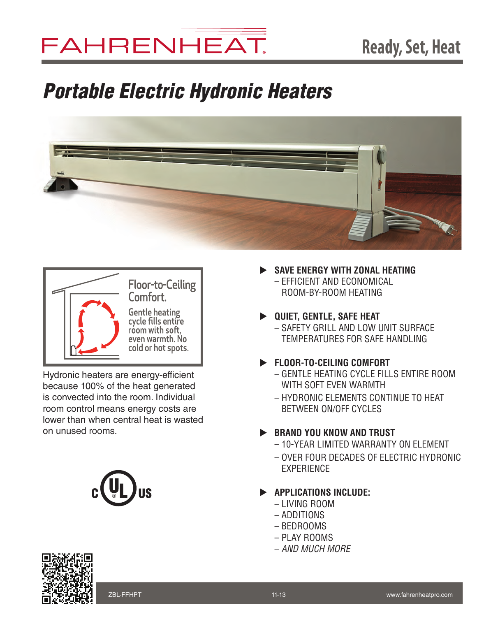# FAHRENHEAT.

## *Portable Electric Hydronic Heaters*





Hydronic heaters are energy-efficient because 100% of the heat generated is convected into the room. Individual room control means energy costs are lower than when central heat is wasted on unused rooms.



- **SAVE ENERGY WITH ZONAL HEATING** – Efficient and economical room-by-room heating
- **D** QUIET, GENTLE, SAFE HEAT
	- Safety GRILL AND LOW UNIT SURFACE TEMPERATURES FOR SAFE HANDLING
- u **fLOOR-TO-CEILING COMFORT**
	- gENTLE HEATING CYCLE FILLS ENTIRE ROOM WITH SOFT EVEN WARMTH
	- HYDRONIC ELEMENTS CONTINUE TO HEAT BETWEEN ON/OFF CYCLES

### **BRAND YOU KNOW AND TRUST**

- 10-year limited warranty on element
- over four decades of electric hydronic **EXPERIENCE**
- **EXAMPLICATIONS INCLUDE:** 
	- Living room
	- additions
	- bEDRooms
	- pLAY ROOMS
	- – *AND MUCH MORE*